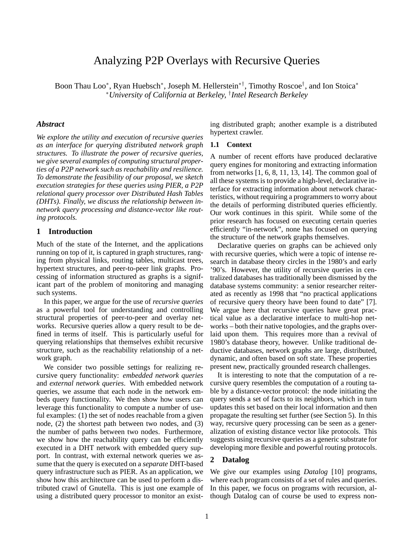# Analyzing P2P Overlays with Recursive Queries

Boon Thau Loo\*, Ryan Huebsch\*, Joseph M. Hellerstein<sup>\*†</sup>, Timothy Roscoe<sup>†</sup>, and Ion Stoica\* <sup>∗</sup>*University of California at Berkeley,* † *Intel Research Berkeley*

### *Abstract*

*We explore the utility and execution of recursive queries as an interface for querying distributed network graph structures. To illustrate the power of recursive queries, we give several examples of computing structural properties of a P2P network such as reachability and resilience. To demonstrate the feasibility of our proposal, we sketch execution strategies for these queries using PIER, a P2P relational query processor over Distributed Hash Tables (DHTs). Finally, we discuss the relationship between innetwork query processing and distance-vector like routing protocols.*

### **1 Introduction**

Much of the state of the Internet, and the applications running on top of it, is captured in graph structures, ranging from physical links, routing tables, multicast trees, hypertext structures, and peer-to-peer link graphs. Processing of information structured as graphs is a significant part of the problem of monitoring and managing such systems.

In this paper, we argue for the use of *recursive queries* as a powerful tool for understanding and controlling structural properties of peer-to-peer and overlay networks. Recursive queries allow a query result to be defined in terms of itself. This is particularly useful for querying relationships that themselves exhibit recursive structure, such as the reachability relationship of a network graph.

We consider two possible settings for realizing recursive query functionality: *embedded network queries* and *external network queries*. With embedded network queries, we assume that each node in the network embeds query functionality. We then show how users can leverage this functionality to compute a number of useful examples: (1) the set of nodes reachable from a given node, (2) the shortest path between two nodes, and (3) the number of paths between two nodes. Furthermore, we show how the reachability query can be efficiently executed in a DHT network with embedded query support. In contrast, with external network queries we assume that the query is executed on a *separate* DHT-based query infrastructure such as PIER. As an application, we show how this architecture can be used to perform a distributed crawl of Gnutella. This is just one example of using a distributed query processor to monitor an existing distributed graph; another example is a distributed hypertext crawler.

### **1.1 Context**

A number of recent efforts have produced declarative query engines for monitoring and extracting information from networks [1, 6, 8, 11, 13, 14]. The common goal of all these systems is to provide a high-level, declarative interface for extracting information about network characteristics, without requiring a programmers to worry about the details of performing distributed queries efficiently. Our work continues in this spirit. While some of the prior research has focused on executing certain queries efficiently "in-network", none has focused on querying the structure of the network graphs themselves.

Declarative queries on graphs can be achieved only with recursive queries, which were a topic of intense research in database theory circles in the 1980's and early '90's. However, the utility of recursive queries in centralized databases has traditionally been dismissed by the database systems community: a senior researcher reiterated as recently as 1998 that "no practical applications of recursive query theory have been found to date" [7]. We argue here that recursive queries have great practical value as a declarative interface to multi-hop networks – both their native topologies, and the graphs overlaid upon them. This requires more than a revival of 1980's database theory, however. Unlike traditional deductive databases, network graphs are large, distributed, dynamic, and often based on soft state. These properties present new, practically grounded research challenges.

It is interesting to note that the computation of a recursive query resembles the computation of a routing table by a distance-vector protocol: the node initiating the query sends a set of facts to its neighbors, which in turn updates this set based on their local information and then propagate the resulting set further (see Section 5). In this way, recursive query processing can be seen as a generalization of existing distance vector like protocols. This suggests using recursive queries as a generic substrate for developing more flexible and powerful routing protocols.

### **2 Datalog**

We give our examples using *Datalog* [10] programs, where each program consists of a set of rules and queries. In this paper, we focus on programs with recursion, although Datalog can of course be used to express non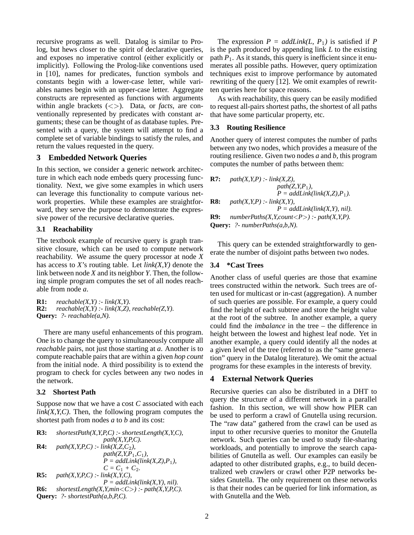recursive programs as well. Datalog is similar to Prolog, but hews closer to the spirit of declarative queries, and exposes no imperative control (either explicitly or implicitly). Following the Prolog-like conventions used in [10], names for predicates, function symbols and constants begin with a lower-case letter, while variables names begin with an upper-case letter. Aggregate constructs are represented as functions with arguments within angle brackets (<>). Data, or *facts*, are conventionally represented by predicates with constant arguments; these can be thought of as database tuples. Presented with a query, the system will attempt to find a complete set of variable bindings to satisfy the rules, and return the values requested in the query.

# **3 Embedded Network Queries**

In this section, we consider a generic network architecture in which each node embeds query processing functionality. Next, we give some examples in which users can leverage this functionality to compute various network properties. While these examples are straightforward, they serve the purpose to demonstrate the expressive power of the recursive declarative queries.

# **3.1 Reachability**

The textbook example of recursive query is graph transitive closure, which can be used to compute network reachability. We assume the query processor at node *X* has access to *X*'s routing table. Let *link(X,Y)* denote the link between node *X* and its neighbor *Y*. Then, the following simple program computes the set of all nodes reachable from node *a*.

**R1:**  $reachable(X, Y)$   $\therefore$   $link(X, Y)$ . **R2:**  $reachable(X, Y)$   $:$   $link(X, Z)$ ,  $reachable(Z, Y)$ . **Query:** *?- reachable(a,N).*

There are many useful enhancements of this program. One is to change the query to simultaneously compute all *reachable* pairs, not just those starting at *a*. Another is to compute reachable pairs that are within a given *hop count* from the initial node. A third possibility is to extend the program to check for cycles between any two nodes in the network.

# **3.2 Shortest Path**

Suppose now that we have a cost *C* associated with each  $link(X, Y, C)$ . Then, the following program computes the shortest path from nodes *a* to *b* and its cost:

\n- **R3:** *shortestPath(X, Y, P, C)* : *shortestLength(X, Y, C)*, 
$$
path(X, Y, P, C)
$$
.
\n- **R4:**  $path(X, Y, P, C) := link(X, Z, C_2)$ ,  $path(Z, Y, P_1, C_1)$ ,  $P = addLink(link(X, Z), P_1)$ ,  $C = C_1 + C_2$ .
\n- **R5:**  $path(X, Y, P, C) := link(X, Y, C)$ ,  $P = addLink(link(X, Y), nil)$ .
\n- **R6:** *shortestLength(X, Y, min < C) := path(X, Y, P, C)*.
\n- **Query:** ? *shortestPath(a, b, P, C)*.
\n

The expression  $P = \text{addLink}(L, P_1)$  is satisfied if P is the path produced by appending link *L* to the existing path  $P_1$ . As it stands, this query is inefficient since it enumerates all possible paths. However, query optimization techniques exist to improve performance by automated rewriting of the query [12]. We omit examples of rewritten queries here for space reasons.

As with reachability, this query can be easily modified to request all-pairs shortest paths, the shortest of all paths that have some particular property, etc.

# **3.3 Routing Resilience**

Another query of interest computes the number of paths between any two nodes, which provides a measure of the routing resilience. Given two nodes *a* and *b*, this program computes the number of paths between them:

| R7:                                          | $path(X, Y, P)$ :- $link(X, Z)$ ,                |
|----------------------------------------------|--------------------------------------------------|
|                                              | $path(Z, Y, P_1)$ ,                              |
|                                              | $P = addLink(link(X,Z),P_1).$                    |
| <b>R8:</b>                                   | $path(X, Y, P)$ : $link(X, Y)$ ,                 |
|                                              | $P = addLink(link(X, Y), nil).$                  |
| R9:                                          | $numberPaths(X, Y, count < P>) : path(X, Y, P).$ |
| <b>Query:</b> $\text{?}-numberPaths(a,b,N).$ |                                                  |

This query can be extended straightforwardly to generate the number of disjoint paths between two nodes.

# **3.4 \*Cast Trees**

Another class of useful queries are those that examine trees constructed within the network. Such trees are often used for multicast or in-cast (aggregation). A number of such queries are possible. For example, a query could find the height of each subtree and store the height value at the root of the subtree. In another example, a query could find the *imbalance* in the tree – the difference in height between the lowest and highest leaf node. Yet in another example, a query could identify all the nodes at a given level of the tree (referred to as the "same generation" query in the Datalog literature). We omit the actual programs for these examples in the interests of brevity.

# **4 External Network Queries**

Recursive queries can also be distributed in a DHT to query the structure of a different network in a parallel fashion. In this section, we will show how PIER can be used to perform a crawl of Gnutella using recursion. The "raw data" gathered from the crawl can be used as input to other recursive queries to monitor the Gnutella network. Such queries can be used to study file-sharing workloads, and potentially to improve the search capabilities of Gnutella as well. Our examples can easily be adapted to other distributed graphs, e.g., to build decentralized web crawlers or crawl other P2P networks besides Gnutella. The only requirement on these networks is that their nodes can be queried for link information, as with Gnutella and the Web.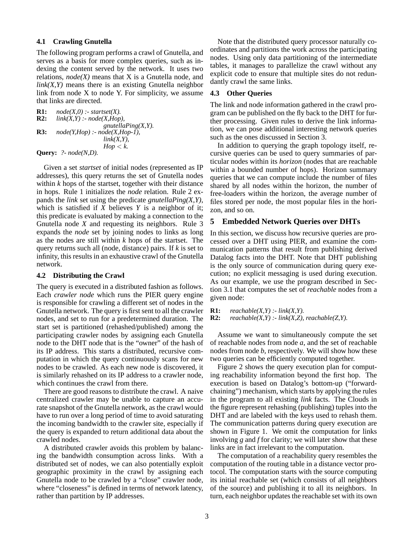### **4.1 Crawling Gnutella**

The following program performs a crawl of Gnutella, and serves as a basis for more complex queries, such as indexing the content served by the network. It uses two relations, *node(X)* means that X is a Gnutella node, and  $link(X, Y)$  means there is an existing Gnutella neighbor link from node  $X$  to node  $Y$ . For simplicity, we assume that links are directed.

```
R1: node(X,0) : startset(X).<br>R2: link(X,Y) : node(X,Hop)
        link(X, Y) :- node(X, Hop),
                            gnutellaPing(X,Y).
R3: node(Y,Hop) :- node(X,Hop-1),
                            link(X,Y),
                             Hop \lt k.
Query: ?- node(N,D).
```
Given a set *startset* of initial nodes (represented as IP addresses), this query returns the set of Gnutella nodes within *k* hops of the startset, together with their distance in hops. Rule 1 initializes the *node* relation. Rule 2 expands the *link* set using the predicate *gnutellaPing(X,Y)*, which is satisfied if *X* believes *Y* is a neighbor of it; this predicate is evaluated by making a connection to the Gnutella node *X* and requesting its neighbors. Rule 3 expands the *node* set by joining nodes to links as long as the nodes are still within *k* hops of the startset. The query returns such all (node, distance) pairs. If *k* is set to infinity, this results in an exhaustive crawl of the Gnutella network.

### **4.2 Distributing the Crawl**

The query is executed in a distributed fashion as follows. Each *crawler node* which runs the PIER query engine is responsible for crawling a different set of nodes in the Gnutella network. The query is first sent to all the crawler nodes, and set to run for a predetermined duration. The start set is partitioned (rehashed/published) among the participating crawler nodes by assigning each Gnutella node to the DHT node that is the "owner" of the hash of its IP address. This starts a distributed, recursive computation in which the query continuously scans for new nodes to be crawled. As each new node is discovered, it is similarly rehashed on its IP address to a crawler node, which continues the crawl from there.

There are good reasons to distribute the crawl. A naive centralized crawler may be unable to capture an accurate snapshot of the Gnutella network, as the crawl would have to run over a long period of time to avoid saturating the incoming bandwidth to the crawler site, especially if the query is expanded to return additional data about the crawled nodes.

A distributed crawler avoids this problem by balancing the bandwidth consumption across links. With a distributed set of nodes, we can also potentially exploit geographic proximity in the crawl by assigning each Gnutella node to be crawled by a "close" crawler node, where "closeness" is defined in terms of network latency, rather than partition by IP addresses.

Note that the distributed query processor naturally coordinates and partitions the work across the participating nodes. Using only data partitioning of the intermediate tables, it manages to parallelize the crawl without any explicit code to ensure that multiple sites do not redundantly crawl the same links.

### **4.3 Other Queries**

The link and node information gathered in the crawl program can be published on the fly back to the DHT for further processing. Given rules to derive the link information, we can pose additional interesting network queries such as the ones discussed in Section 3.

In addition to querying the graph topology itself, recursive queries can be used to query summaries of particular nodes within its *horizon* (nodes that are reachable within a bounded number of hops). Horizon summary queries that we can compute include the number of files shared by all nodes within the horizon, the number of free-loaders within the horizon, the average number of files stored per node, the most popular files in the horizon, and so on.

### **5 Embedded Network Queries over DHTs**

In this section, we discuss how recursive queries are processed over a DHT using PIER, and examine the communication patterns that result from publishing derived Datalog facts into the DHT. Note that DHT publishing is the only source of communication during query execution; no explicit messaging is used during execution. As our example, we use the program described in Section 3.1 that computes the set of *reachable* nodes from a given node:

**R1:** *reachable(X,Y) :- link(X,Y).*

```
R2: reachable(X, Y) : link(X, Z), reachable(Z, Y).
```
Assume we want to simultaneously compute the set of reachable nodes from node *a*, and the set of reachable nodes from node *b*, respectively. We will show how these two queries can be efficiently computed together.

Figure 2 shows the query execution plan for computing reachability information beyond the first hop. The execution is based on Datalog's bottom-up ("forwardchaining") mechanism, which starts by applying the rules in the program to all existing *link* facts. The Clouds in the figure represent rehashing (publishing) tuples into the DHT and are labeled with the keys used to rehash them. The communication patterns during query execution are shown in Figure 1. We omit the computation for links involving *g* and *f* for clarity; we will later show that these links are in fact irrelevant to the computation.

The computation of a reachability query resembles the computation of the routing table in a distance vector protocol. The computation starts with the source computing its initial reachable set (which consists of all neighbors of the source) and publishing it to all its neighbors. In turn, each neighbor updates the reachable set with its own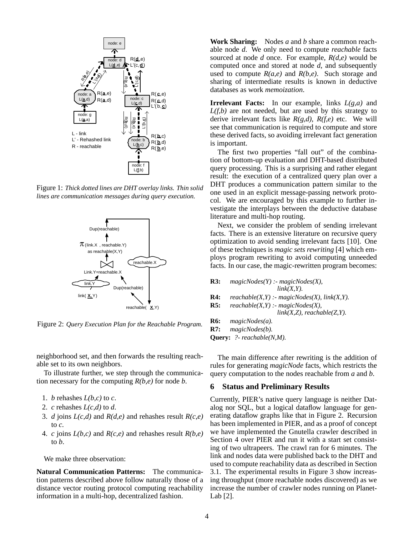

Figure 1: *Thick dotted lines are DHT overlay links. Thin solid lines are communication messages during query execution.*



Figure 2: *Query Execution Plan for the Reachable Program.*

neighborhood set, and then forwards the resulting reachable set to its own neighbors.

To illustrate further, we step through the communication necessary for the computing *R(b,e)* for node *b*.

- 1. *b* rehashes  $L(b, c)$  to *c*.
- 2.  $c$  rehashes  $L(c,d)$  to  $d$ .
- 3. *d* joins *L(c,d)* and *R(d,e)* and rehashes result *R(c,e)* to *c*.
- 4. *c* joins *L(b,c)* and *R(c,e)* and rehashes result *R(b,e)* to *b*.

We make three observation:

**Natural Communication Patterns:** The communication patterns described above follow naturally those of a distance vector routing protocol computing reachability information in a multi-hop, decentralized fashion.

**Work Sharing:** Nodes *a* and *b* share a common reachable node *d*. We only need to compute *reachable* facts sourced at node *d* once. For example, *R(d,e)* would be computed once and stored at node *d*, and subsequently used to compute  $R(a,e)$  and  $R(b,e)$ . Such storage and sharing of intermediate results is known in deductive databases as work *memoization*.

**Irrelevant Facts:** In our example, links *L(g,a)* and *L(f,b)* are not needed, but are used by this strategy to derive irrelevant facts like *R(g,d), R(f,e)* etc. We will see that communication is required to compute and store these derived facts, so avoiding irrelevant fact generation is important.

The first two properties "fall out" of the combination of bottom-up evaluation and DHT-based distributed query processing. This is a surprising and rather elegant result: the execution of a centralized query plan over a DHT produces a communication pattern similar to the one used in an explicit message-passing network protocol. We are encouraged by this example to further investigate the interplays between the deductive database literature and multi-hop routing.

Next, we consider the problem of sending irrelevant facts. There is an extensive literature on recursive query optimization to avoid sending irrelevant facts [10]. One of these techniques is *magic sets rewriting* [4] which employs program rewriting to avoid computing unneeded facts. In our case, the magic-rewritten program becomes:

| R3: | $magicNodes(Y)$ :- magicNodes(X),                                         |
|-----|---------------------------------------------------------------------------|
|     | $link(X, Y)$ .                                                            |
| R4: | $reachable(X, Y) : magicNodes(X), link(X, Y).$                            |
| R5: | $reachable(X, Y) : - magicNodes(X),$<br>$link(X,Z)$ , reachable $(Z,Y)$ . |
| R6: | magicNodes(a).                                                            |
| R7: | $magicNodes(b)$ .                                                         |

**Query:** *?- reachable(N,M).*

The main difference after rewriting is the addition of rules for generating *magicNode* facts, which restricts the query computation to the nodes reachable from *a* and *b*.

### **6 Status and Preliminary Results**

Currently, PIER's native query language is neither Datalog nor SQL, but a logical dataflow language for generating dataflow graphs like that in Figure 2. Recursion has been implemented in PIER, and as a proof of concept we have implemented the Gnutella crawler described in Section 4 over PIER and run it with a start set consisting of two ultrapeers. The crawl ran for 6 minutes. The link and nodes data were published back to the DHT and used to compute reachability data as described in Section 3.1. The experimental results in Figure 3 show increasing throughput (more reachable nodes discovered) as we increase the number of crawler nodes running on Planet-Lab [2].